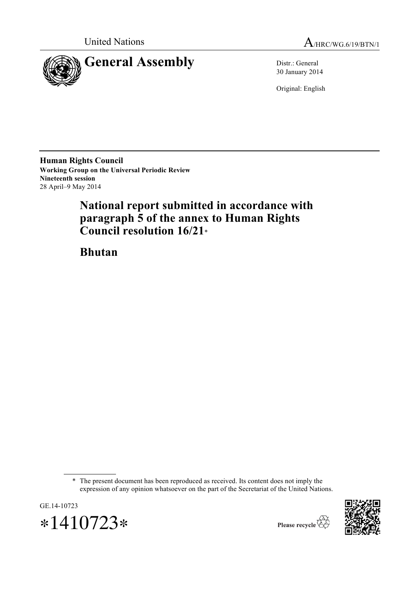

United Nations A/HRC/WG.6/19/BTN/1

30 January 2014

Original: English

**Human Rights Council Working Group on the Universal Periodic Review Nineteenth session** 28 April–9 May 2014

# **National report submitted in accordance with paragraph 5 of the annex to Human Rights Council resolution 16/21**\*

**Bhutan**

\* The present document has been reproduced as received. Its content does not imply the expression of any opinion whatsoever on the part of the Secretariat of the United Nations.





Please recycle  $\overleftrightarrow{C}$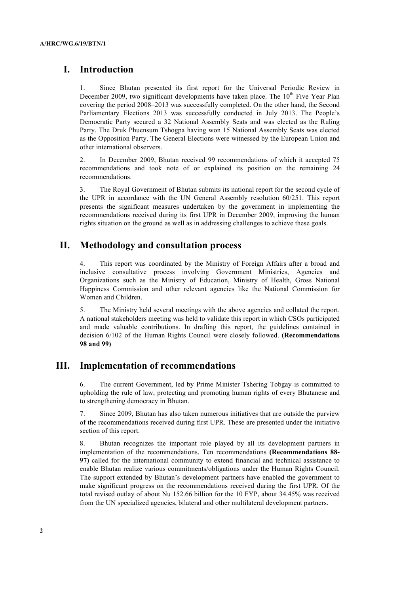## **I. Introduction**

1. Since Bhutan presented its first report for the Universal Periodic Review in December 2009, two significant developments have taken place. The  $10<sup>th</sup>$  Five Year Plan covering the period 2008–2013 was successfully completed. On the other hand, the Second Parliamentary Elections 2013 was successfully conducted in July 2013. The People's Democratic Party secured a 32 National Assembly Seats and was elected as the Ruling Party. The Druk Phuensum Tshogpa having won 15 National Assembly Seats was elected as the Opposition Party. The General Elections were witnessed by the European Union and other international observers.

2. In December 2009, Bhutan received 99 recommendations of which it accepted 75 recommendations and took note of or explained its position on the remaining 24 recommendations.

3. The Royal Government of Bhutan submits its national report for the second cycle of the UPR in accordance with the UN General Assembly resolution 60/251. This report presents the significant measures undertaken by the government in implementing the recommendations received during its first UPR in December 2009, improving the human rights situation on the ground as well as in addressing challenges to achieve these goals.

## **II. Methodology and consultation process**

4. This report was coordinated by the Ministry of Foreign Affairs after a broad and inclusive consultative process involving Government Ministries, Agencies and Organizations such as the Ministry of Education, Ministry of Health, Gross National Happiness Commission and other relevant agencies like the National Commission for Women and Children.

5. The Ministry held several meetings with the above agencies and collated the report. A national stakeholders meeting was held to validate this report in which CSOs participated and made valuable contributions. In drafting this report, the guidelines contained in decision 6/102 of the Human Rights Council were closely followed. **(Recommendations 98 and 99)**

## **III. Implementation of recommendations**

6. The current Government, led by Prime Minister Tshering Tobgay is committed to upholding the rule of law, protecting and promoting human rights of every Bhutanese and to strengthening democracy in Bhutan.

7. Since 2009, Bhutan has also taken numerous initiatives that are outside the purview of the recommendations received during first UPR. These are presented under the initiative section of this report.

8. Bhutan recognizes the important role played by all its development partners in implementation of the recommendations. Ten recommendations **(Recommendations 88- 97)** called for the international community to extend financial and technical assistance to enable Bhutan realize various commitments/obligations under the Human Rights Council. The support extended by Bhutan's development partners have enabled the government to make significant progress on the recommendations received during the first UPR. Of the total revised outlay of about Nu 152.66 billion for the 10 FYP, about 34.45% was received from the UN specialized agencies, bilateral and other multilateral development partners.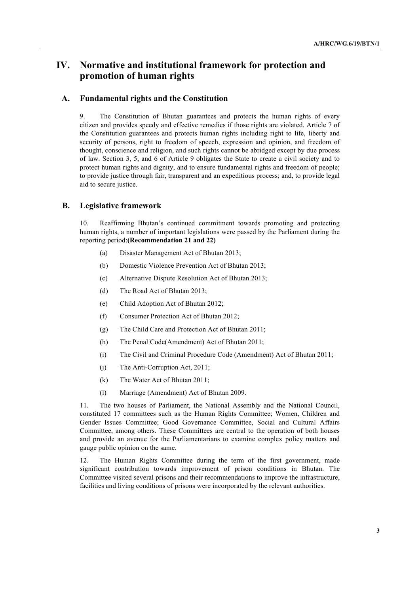## **IV. Normative and institutional framework for protection and promotion of human rights**

### **A. Fundamental rights and the Constitution**

9. The Constitution of Bhutan guarantees and protects the human rights of every citizen and provides speedy and effective remedies if those rights are violated. Article 7 of the Constitution guarantees and protects human rights including right to life, liberty and security of persons, right to freedom of speech, expression and opinion, and freedom of thought, conscience and religion, and such rights cannot be abridged except by due process of law. Section 3, 5, and 6 of Article 9 obligates the State to create a civil society and to protect human rights and dignity, and to ensure fundamental rights and freedom of people; to provide justice through fair, transparent and an expeditious process; and, to provide legal aid to secure justice.

### **B. Legislative framework**

10. Reaffirming Bhutan's continued commitment towards promoting and protecting human rights, a number of important legislations were passed by the Parliament during the reporting period:**(Recommendation 21 and 22)**

- (a) Disaster Management Act of Bhutan 2013;
- (b) Domestic Violence Prevention Act of Bhutan 2013;
- (c) Alternative Dispute Resolution Act of Bhutan 2013;
- (d) The Road Act of Bhutan 2013;
- (e) Child Adoption Act of Bhutan 2012;
- (f) Consumer Protection Act of Bhutan 2012;
- (g) The Child Care and Protection Act of Bhutan 2011;
- (h) The Penal Code(Amendment) Act of Bhutan 2011;
- (i) The Civil and Criminal Procedure Code (Amendment) Act of Bhutan 2011;
- (j) The Anti-Corruption Act, 2011;
- (k) The Water Act of Bhutan 2011;
- (l) Marriage (Amendment) Act of Bhutan 2009.

11. The two houses of Parliament, the National Assembly and the National Council, constituted 17 committees such as the Human Rights Committee; Women, Children and Gender Issues Committee; Good Governance Committee, Social and Cultural Affairs Committee, among others. These Committees are central to the operation of both houses and provide an avenue for the Parliamentarians to examine complex policy matters and gauge public opinion on the same.

12. The Human Rights Committee during the term of the first government, made significant contribution towards improvement of prison conditions in Bhutan. The Committee visited several prisons and their recommendations to improve the infrastructure, facilities and living conditions of prisons were incorporated by the relevant authorities.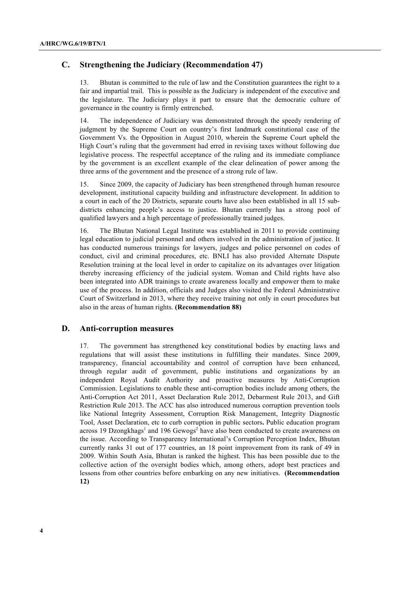## **C. Strengthening the Judiciary (Recommendation 47)**

13. Bhutan is committed to the rule of law and the Constitution guarantees the right to a fair and impartial trail. This is possible as the Judiciary is independent of the executive and the legislature. The Judiciary plays it part to ensure that the democratic culture of governance in the country is firmly entrenched.

14. The independence of Judiciary was demonstrated through the speedy rendering of judgment by the Supreme Court on country's first landmark constitutional case of the Government Vs. the Opposition in August 2010, wherein the Supreme Court upheld the High Court's ruling that the government had erred in revising taxes without following due legislative process. The respectful acceptance of the ruling and its immediate compliance by the government is an excellent example of the clear delineation of power among the three arms of the government and the presence of a strong rule of law.

15. Since 2009, the capacity of Judiciary has been strengthened through human resource development, institutional capacity building and infrastructure development. In addition to a court in each of the 20 Districts, separate courts have also been established in all 15 subdistricts enhancing people's access to justice. Bhutan currently has a strong pool of qualified lawyers and a high percentage of professionally trained judges.

16. The Bhutan National Legal Institute was established in 2011 to provide continuing legal education to judicial personnel and others involved in the administration of justice. It has conducted numerous trainings for lawyers, judges and police personnel on codes of conduct, civil and criminal procedures, etc. BNLI has also provided Alternate Dispute Resolution training at the local level in order to capitalize on its advantages over litigation thereby increasing efficiency of the judicial system. Woman and Child rights have also been integrated into ADR trainings to create awareness locally and empower them to make use of the process. In addition, officials and Judges also visited the Federal Administrative Court of Switzerland in 2013, where they receive training not only in court procedures but also in the areas of human rights. **(Recommendation 88)**

### **D. Anti-corruption measures**

17. The government has strengthened key constitutional bodies by enacting laws and regulations that will assist these institutions in fulfilling their mandates. Since 2009, transparency, financial accountability and control of corruption have been enhanced, through regular audit of government, public institutions and organizations by an independent Royal Audit Authority and proactive measures by Anti-Corruption Commission. Legislations to enable these anti-corruption bodies include among others, the Anti-Corruption Act 2011, Asset Declaration Rule 2012, Debarment Rule 2013, and Gift Restriction Rule 2013. The ACC has also introduced numerous corruption prevention tools like National Integrity Assessment, Corruption Risk Management, Integrity Diagnostic Tool, Asset Declaration, etc to curb corruption in public sectors**.** Public education program across 19 Dzongkhags<sup>1</sup> and 196 Gewogs<sup>2</sup> have also been conducted to create awareness on the issue. According to Transparency International's Corruption Perception Index, Bhutan currently ranks 31 out of 177 countries, an 18 point improvement from its rank of 49 in 2009. Within South Asia, Bhutan is ranked the highest. This has been possible due to the collective action of the oversight bodies which, among others, adopt best practices and lessons from other countries before embarking on any new initiatives. **(Recommendation 12)**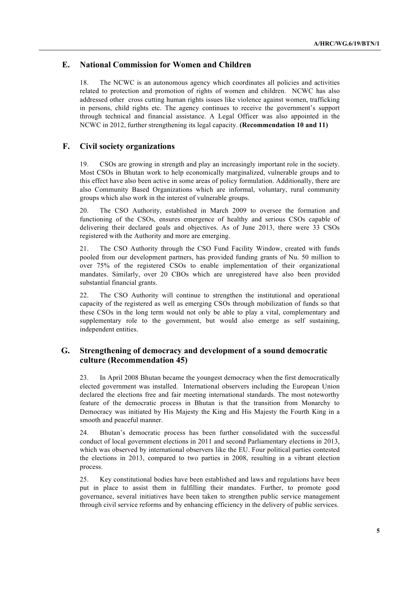## **E. National Commission for Women and Children**

18. The NCWC is an autonomous agency which coordinates all policies and activities related to protection and promotion of rights of women and children. NCWC has also addressed other cross cutting human rights issues like violence against women, trafficking in persons, child rights etc. The agency continues to receive the government's support through technical and financial assistance. A Legal Officer was also appointed in the NCWC in 2012, further strengthening its legal capacity. **(Recommendation 10 and 11)**

## **F. Civil society organizations**

19. CSOs are growing in strength and play an increasingly important role in the society. Most CSOs in Bhutan work to help economically marginalized, vulnerable groups and to this effect have also been active in some areas of policy formulation. Additionally, there are also Community Based Organizations which are informal, voluntary, rural community groups which also work in the interest of vulnerable groups.

20. The CSO Authority, established in March 2009 to oversee the formation and functioning of the CSOs, ensures emergence of healthy and serious CSOs capable of delivering their declared goals and objectives. As of June 2013, there were 33 CSOs registered with the Authority and more are emerging.

21. The CSO Authority through the CSO Fund Facility Window, created with funds pooled from our development partners, has provided funding grants of Nu. 50 million to over 75% of the registered CSOs to enable implementation of their organizational mandates. Similarly, over 20 CBOs which are unregistered have also been provided substantial financial grants.

22. The CSO Authority will continue to strengthen the institutional and operational capacity of the registered as well as emerging CSOs through mobilization of funds so that these CSOs in the long term would not only be able to play a vital, complementary and supplementary role to the government, but would also emerge as self sustaining, independent entities.

## **G. Strengthening of democracy and development of a sound democratic culture (Recommendation 45)**

23. In April 2008 Bhutan became the youngest democracy when the first democratically elected government was installed. International observers including the European Union declared the elections free and fair meeting international standards. The most noteworthy feature of the democratic process in Bhutan is that the transition from Monarchy to Democracy was initiated by His Majesty the King and His Majesty the Fourth King in a smooth and peaceful manner.

24. Bhutan's democratic process has been further consolidated with the successful conduct of local government elections in 2011 and second Parliamentary elections in 2013, which was observed by international observers like the EU. Four political parties contested the elections in 2013, compared to two parties in 2008, resulting in a vibrant election process.

25. Key constitutional bodies have been established and laws and regulations have been put in place to assist them in fulfilling their mandates. Further, to promote good governance, several initiatives have been taken to strengthen public service management through civil service reforms and by enhancing efficiency in the delivery of public services.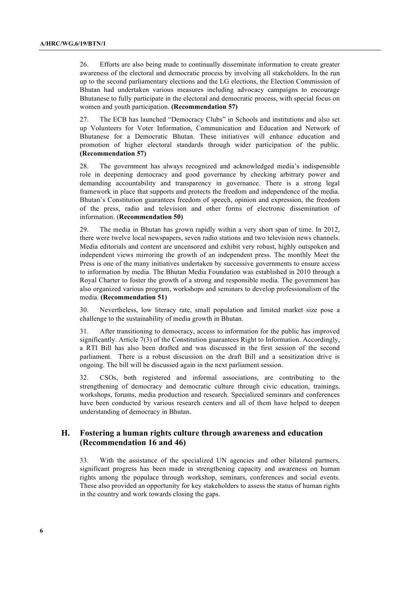26. Efforts are also being made to continually disseminate information to create greater awareness of the electoral and democratic process by involving all stakeholders. In the run up to the second parliamentary elections and the LG elections, the Election Commission of Bhutan had undertaken various measures including advocacy campaigns to encourage Bhutanese to fully participate in the electoral and democratic process, with special focus on women and youth participation. **(Recommendation 57)**

27. The ECB has launched "Democracy Clubs" in Schools and institutions and also set up Volunteers for Voter Information, Communication and Education and Network of Bhutanese for a Democratic Bhutan. These initiatives will enhance education and promotion of higher electoral standards through wider participation of the public. **(Recommendation 57)**

28. The government has always recognized and acknowledged media's indispensible role in deepening democracy and good governance by checking arbitrary power and demanding accountability and transparency in governance. There is a strong legal framework in place that supports and protects the freedom and independence of the media. Bhutan's Constitution guarantees freedom of speech, opinion and expression, the freedom of the press, radio and television and other forms of electronic dissemination of information. (**Recommendation 50)**

29. The media in Bhutan has grown rapidly within a very short span of time. In 2012, there were twelve local newspapers, seven radio stations and two television news channels. Media editorials and content are uncensored and exhibit very robust, highly outspoken and independent views mirroring the growth of an independent press. The monthly Meet the Press is one of the many initiatives undertaken by successive governments to ensure access to information by media. The Bhutan Media Foundation was established in 2010 through a Royal Charter to foster the growth of a strong and responsible media. The government has also organized various program, workshops and seminars to develop professionalism of the media. **(Recommendation 51)**

30. Nevertheless, low literacy rate, small population and limited market size pose a challenge to the sustainability of media growth in Bhutan.

31. After transitioning to democracy, access to information for the public has improved significantly. Article 7(3) of the Constitution guarantees Right to Information. Accordingly, a RTI Bill has also been drafted and was discussed in the first session of the second parliament. There is a robust discussion on the draft Bill and a sensitization drive is ongoing. The bill will be discussed again in the next parliament session.

32. CSOs, both registered and informal associations, are contributing to the strengthening of democracy and democratic culture through civic education, trainings, workshops, forums, media production and research. Specialized seminars and conferences have been conducted by various research centers and all of them have helped to deepen understanding of democracy in Bhutan.

## **H. Fostering a human rights culture through awareness and education (Recommendation 16 and 46)**

33. With the assistance of the specialized UN agencies and other bilateral partners, significant progress has been made in strengthening capacity and awareness on human rights among the populace through workshop, seminars, conferences and social events. These also provided an opportunity for key stakeholders to assess the status of human rights in the country and work towards closing the gaps.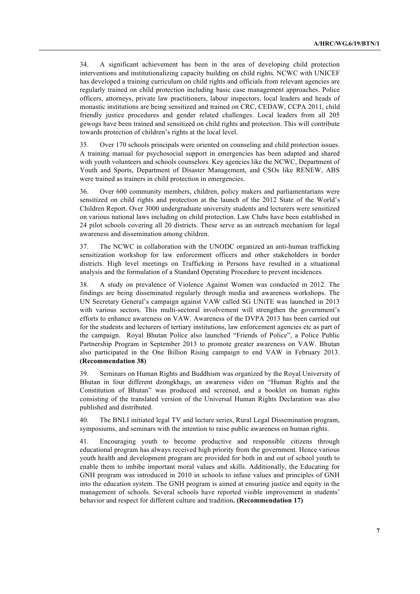34. A significant achievement has been in the area of developing child protection interventions and institutionalizing capacity building on child rights. NCWC with UNICEF has developed a training curriculum on child rights and officials from relevant agencies are regularly trained on child protection including basic case management approaches. Police officers, attorneys, private law practitioners, labour inspectors, local leaders and heads of monastic institutions are being sensitized and trained on CRC, CEDAW, CCPA 2011, child friendly justice procedures and gender related challenges. Local leaders from all 205 gewogs have been trained and sensitized on child rights and protection. This will contribute towards protection of children's rights at the local level.

35. Over 170 schools principals were oriented on counseling and child protection issues. A training manual for psychosocial support in emergencies has been adapted and shared with youth volunteers and schools counselors. Key agencies like the NCWC, Department of Youth and Sports, Department of Disaster Management, and CSOs like RENEW, ABS were trained as trainers in child protection in emergencies.

36. Over 600 community members, children, policy makers and parliamentarians were sensitized on child rights and protection at the launch of the 2012 State of the World's Children Report. Over 3000 undergraduate university students and lecturers were sensitized on various national laws including on child protection. Law Clubs have been established in 24 pilot schools covering all 20 districts. These serve as an outreach mechanism for legal awareness and dissemination among children.

37. The NCWC in collaboration with the UNODC organized an anti-human trafficking sensitization workshop for law enforcement officers and other stakeholders in border districts. High level meetings on Trafficking in Persons have resulted in a situational analysis and the formulation of a Standard Operating Procedure to prevent incidences.

38. A study on prevalence of Violence Against Women was conducted in 2012. The findings are being disseminated regularly through media and awareness workshops. The UN Secretary General's campaign against VAW called SG UNiTE was launched in 2013 with various sectors. This multi-sectoral involvement will strengthen the government's efforts to enhance awareness on VAW. Awareness of the DVPA 2013 has been carried out for the students and lecturers of tertiary institutions, law enforcement agencies etc as part of the campaign. Royal Bhutan Police also launched "Friends of Police", a Police Public Partnership Program in September 2013 to promote greater awareness on VAW. Bhutan also participated in the One Billion Rising campaign to end VAW in February 2013. **(Recommendation 38)**

39. Seminars on Human Rights and Buddhism was organized by the Royal University of Bhutan in four different dzongkhags, an awareness video on "Human Rights and the Constitution of Bhutan" was produced and screened, and a booklet on human rights consisting of the translated version of the Universal Human Rights Declaration was also published and distributed.

40. The BNLI initiated legal TV and lecture series, Rural Legal Dissemination program, symposiums, and seminars with the intention to raise public awareness on human rights.

41. Encouraging youth to become productive and responsible citizens through educational program has always received high priority from the government. Hence various youth health and development program are provided for both in and out of school youth to enable them to imbibe important moral values and skills. Additionally, the Educating for GNH program was introduced in 2010 in schools to infuse values and principles of GNH into the education system. The GNH program is aimed at ensuring justice and equity in the management of schools. Several schools have reported visible improvement in students' behavior and respect for different culture and tradition**. (Recommendation 17)**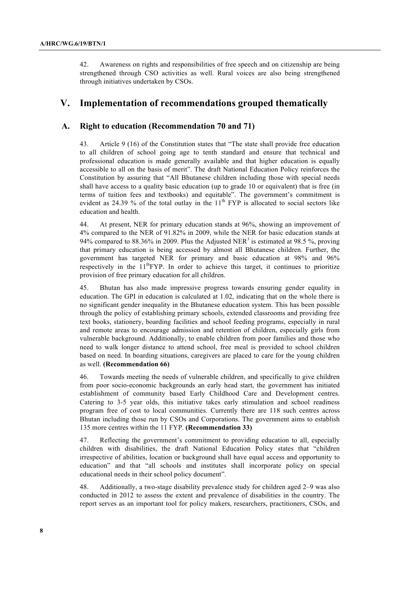42. Awareness on rights and responsibilities of free speech and on citizenship are being strengthened through CSO activities as well. Rural voices are also being strengthened through initiatives undertaken by CSOs.

## **V. Implementation of recommendations grouped thematically**

## **A. Right to education (Recommendation 70 and 71)**

43. Article 9 (16) of the Constitution states that "The state shall provide free education to all children of school going age to tenth standard and ensure that technical and professional education is made generally available and that higher education is equally accessible to all on the basis of merit". The draft National Education Policy reinforces the Constitution by assuring that "All Bhutanese children including those with special needs shall have access to a quality basic education (up to grade 10 or equivalent) that is free (in terms of tuition fees and textbooks) and equitable". The government's commitment is evident as 24.39 % of the total outlay in the  $11<sup>th</sup> FYP$  is allocated to social sectors like education and health.

44. At present, NER for primary education stands at 96%, showing an improvement of 4% compared to the NER of 91.82% in 2009, while the NER for basic education stands at 94% compared to 88.36% in 2009. Plus the Adjusted NER<sup>3</sup> is estimated at 98.5 %, proving that primary education is being accessed by almost all Bhutanese children. Further, the government has targeted NER for primary and basic education at 98% and 96% respectively in the  $11^{th}$ FYP. In order to achieve this target, it continues to prioritize provision of free primary education for all children.

45. Bhutan has also made impressive progress towards ensuring gender equality in education. The GPI in education is calculated at 1.02, indicating that on the whole there is no significant gender inequality in the Bhutanese education system. This has been possible through the policy of establishing primary schools, extended classrooms and providing free text books, stationery, boarding facilities and school feeding programs, especially in rural and remote areas to encourage admission and retention of children, especially girls from vulnerable background. Additionally, to enable children from poor families and those who need to walk longer distance to attend school, free meal is provided to school children based on need. In boarding situations, caregivers are placed to care for the young children as well. **(Recommendation 66)**

46. Towards meeting the needs of vulnerable children, and specifically to give children from poor socio-economic backgrounds an early head start, the government has initiated establishment of community based Early Childhood Care and Development centres. Catering to 3-5 year olds, this initiative takes early stimulation and school readiness program free of cost to local communities. Currently there are 118 such centres across Bhutan including those run by CSOs and Corporations. The government aims to establish 135 more centres within the 11 FYP. **(Recommendation 33)**

47. Reflecting the government's commitment to providing education to all, especially children with disabilities, the draft National Education Policy states that "children irrespective of abilities, location or background shall have equal access and opportunity to education" and that "all schools and institutes shall incorporate policy on special educational needs in their school policy document".

48. Additionally, a two-stage disability prevalence study for children aged 2–9 was also conducted in 2012 to assess the extent and prevalence of disabilities in the country. The report serves as an important tool for policy makers, researchers, practitioners, CSOs, and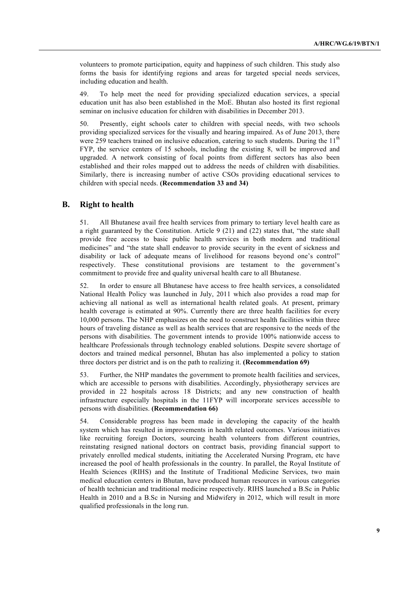volunteers to promote participation, equity and happiness of such children. This study also forms the basis for identifying regions and areas for targeted special needs services, including education and health.

49. To help meet the need for providing specialized education services, a special education unit has also been established in the MoE. Bhutan also hosted its first regional seminar on inclusive education for children with disabilities in December 2013.

50. Presently, eight schools cater to children with special needs, with two schools providing specialized services for the visually and hearing impaired. As of June 2013, there were 259 teachers trained on inclusive education, catering to such students. During the  $11<sup>th</sup>$ FYP, the service centers of 15 schools, including the existing 8, will be improved and upgraded. A network consisting of focal points from different sectors has also been established and their roles mapped out to address the needs of children with disabilities. Similarly, there is increasing number of active CSOs providing educational services to children with special needs. **(Recommendation 33 and 34)**

### **B. Right to health**

51. All Bhutanese avail free health services from primary to tertiary level health care as a right guaranteed by the Constitution. Article 9 (21) and (22) states that, "the state shall provide free access to basic public health services in both modern and traditional medicines" and "the state shall endeavor to provide security in the event of sickness and disability or lack of adequate means of livelihood for reasons beyond one's control" respectively. These constitutional provisions are testament to the government's commitment to provide free and quality universal health care to all Bhutanese.

52. In order to ensure all Bhutanese have access to free health services, a consolidated National Health Policy was launched in July, 2011 which also provides a road map for achieving all national as well as international health related goals. At present, primary health coverage is estimated at 90%. Currently there are three health facilities for every 10,000 persons. The NHP emphasizes on the need to construct health facilities within three hours of traveling distance as well as health services that are responsive to the needs of the persons with disabilities. The government intends to provide 100% nationwide access to healthcare Professionals through technology enabled solutions. Despite severe shortage of doctors and trained medical personnel, Bhutan has also implemented a policy to station three doctors per district and is on the path to realizing it. **(Recommendation 69)**

53. Further, the NHP mandates the government to promote health facilities and services, which are accessible to persons with disabilities. Accordingly, physiotherapy services are provided in 22 hospitals across 18 Districts; and any new construction of health infrastructure especially hospitals in the 11FYP will incorporate services accessible to persons with disabilities. **(Recommendation 66)**

54. Considerable progress has been made in developing the capacity of the health system which has resulted in improvements in health related outcomes. Various initiatives like recruiting foreign Doctors, sourcing health volunteers from different countries, reinstating resigned national doctors on contract basis, providing financial support to privately enrolled medical students, initiating the Accelerated Nursing Program, etc have increased the pool of health professionals in the country. In parallel, the Royal Institute of Health Sciences (RIHS) and the Institute of Traditional Medicine Services, two main medical education centers in Bhutan, have produced human resources in various categories of health technician and traditional medicine respectively. RIHS launched a B.Sc in Public Health in 2010 and a B.Sc in Nursing and Midwifery in 2012, which will result in more qualified professionals in the long run.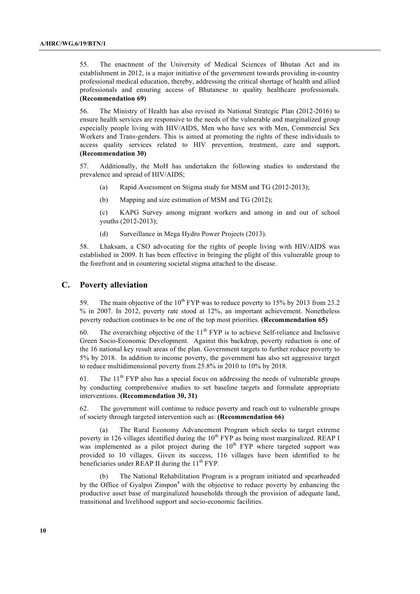55. The enactment of the University of Medical Sciences of Bhutan Act and its establishment in 2012, is a major initiative of the government towards providing in-country professional medical education, thereby, addressing the critical shortage of health and allied professionals and ensuring access of Bhutanese to quality healthcare professionals. **(Recommendation 69)**

56. The Ministry of Health has also revised its National Strategic Plan (2012-2016) to ensure health services are responsive to the needs of the vulnerable and marginalized group especially people living with HIV/AIDS, Men who have sex with Men, Commercial Sex Workers and Trans-genders. This is aimed at promoting the rights of these individuals to access quality services related to HIV prevention, treatment, care and support**. (Recommendation 30)**

57. Additionally, the MoH has undertaken the following studies to understand the prevalence and spread of HIV/AIDS;

- (a) Rapid Assessment on Stigma study for MSM and TG (2012-2013);
- (b) Mapping and size estimation of MSM and TG (2012);

(c) KAPG Survey among migrant workers and among in and out of school youths (2012-2013);

(d) Surveillance in Mega Hydro Power Projects (2013).

58. Lhaksam, a CSO advocating for the rights of people living with HIV/AIDS was established in 2009. It has been effective in bringing the plight of this vulnerable group to the forefront and in countering societal stigma attached to the disease.

### **C. Poverty alleviation**

59. The main objective of the  $10^{th}$  FYP was to reduce poverty to 15% by 2013 from 23.2 % in 2007. In 2012, poverty rate stood at 12%, an important achievement. Nonetheless poverty reduction continues to be one of the top most priorities. **(Recommendation 65)**

60. The overarching objective of the  $11<sup>th</sup> FYP$  is to achieve Self-reliance and Inclusive Green Socio-Economic Development. Against this backdrop, poverty reduction is one of the 16 national key result areas of the plan. Government targets to further reduce poverty to 5% by 2018. In addition to income poverty, the government has also set aggressive target to reduce multidimensional poverty from 25.8% in 2010 to 10% by 2018.

61. The  $11<sup>th</sup> FYP$  also has a special focus on addressing the needs of vulnerable groups by conducting comprehensive studies to set baseline targets and formulate appropriate interventions. **(Recommendation 30, 31)**

62. The government will continue to reduce poverty and reach out to vulnerable groups of society through targeted intervention such as: **(Recommendation 66)**

(a) The Rural Economy Advancement Program which seeks to target extreme poverty in 126 villages identified during the  $10<sup>th</sup> FYP$  as being most marginalized. REAP I was implemented as a pilot project during the  $10<sup>th</sup> FYP$  where targeted support was provided to 10 villages. Given its success, 116 villages have been identified to be beneficiaries under REAP II during the  $11<sup>th</sup> FYP$ .

(b) The National Rehabilitation Program is a program initiated and spearheaded by the Office of Gyalpoi Zimpon<sup>4</sup> with the objective to reduce poverty by enhancing the productive asset base of marginalized households through the provision of adequate land, transitional and livelihood support and socio-economic facilities.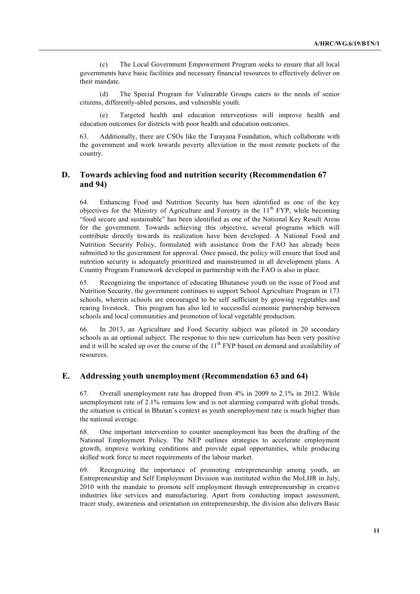(c) The Local Government Empowerment Program seeks to ensure that all local governments have basic facilities and necessary financial resources to effectively deliver on their mandate.

(d) The Special Program for Vulnerable Groups caters to the needs of senior citizens, differently-abled persons, and vulnerable youth.

(e) Targeted health and education interventions will improve health and education outcomes for districts with poor health and education outcomes.

63. Additionally, there are CSOs like the Tarayana Foundation, which collaborate with the government and work towards poverty alleviation in the most remote pockets of the country.

## **D. Towards achieving food and nutrition security (Recommendation 67 and 94)**

64. Enhancing Food and Nutrition Security has been identified as one of the key objectives for the Ministry of Agriculture and Forestry in the  $11<sup>th</sup> FYP$ , while becoming "food secure and sustainable" has been identified as one of the National Key Result Areas for the government. Towards achieving this objective, several programs which will contribute directly towards its realization have been developed. A National Food and Nutrition Security Policy, formulated with assistance from the FAO has already been submitted to the government for approval. Once passed, the policy will ensure that food and nutrition security is adequately prioritized and mainstreamed in all development plans. A Country Program Framework developed in partnership with the FAO is also in place.

65. Recognizing the importance of educating Bhutanese youth on the issue of Food and Nutrition Security, the government continues to support School Agriculture Program in 173 schools, wherein schools are encouraged to be self sufficient by growing vegetables and rearing livestock. This program has also led to successful economic partnership between schools and local communities and promotion of local vegetable production.

66. In 2013, an Agriculture and Food Security subject was piloted in 20 secondary schools as an optional subject. The response to this new curriculum has been very positive and it will be scaled up over the course of the  $11<sup>th</sup> FYP$  based on demand and availability of resources.

### **E. Addressing youth unemployment (Recommendation 63 and 64)**

67. Overall unemployment rate has dropped from 4% in 2009 to 2.1% in 2012. While unemployment rate of 2.1% remains low and is not alarming compared with global trends, the situation is critical in Bhutan's context as youth unemployment rate is much higher than the national average.

68. One important intervention to counter unemployment has been the drafting of the National Employment Policy. The NEP outlines strategies to accelerate employment growth, improve working conditions and provide equal opportunities, while producing skilled work force to meet requirements of the labour market.

69. Recognizing the importance of promoting entrepreneurship among youth, an Entrepreneurship and Self Employment Division was instituted within the MoLHR in July, 2010 with the mandate to promote self employment through entrepreneurship in creative industries like services and manufacturing. Apart from conducting impact assessment, tracer study, awareness and orientation on entrepreneurship, the division also delivers Basic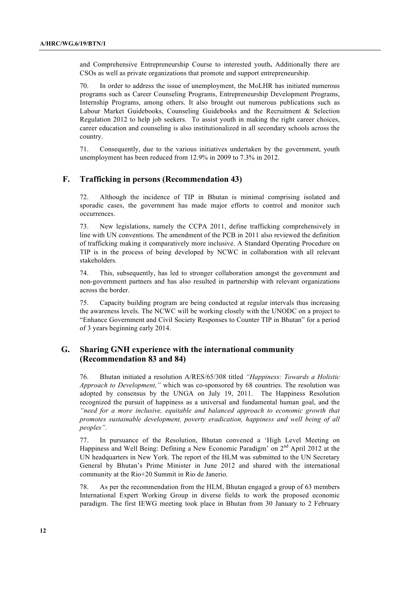and Comprehensive Entrepreneurship Course to interested youth**.** Additionally there are CSOs as well as private organizations that promote and support entrepreneurship.

70. In order to address the issue of unemployment, the MoLHR has initiated numerous programs such as Career Counseling Programs, Entrepreneurship Development Programs, Internship Programs, among others. It also brought out numerous publications such as Labour Market Guidebooks, Counseling Guidebooks and the Recruitment & Selection Regulation 2012 to help job seekers. To assist youth in making the right career choices, career education and counseling is also institutionalized in all secondary schools across the country.

71. Consequently, due to the various initiatives undertaken by the government, youth unemployment has been reduced from 12.9% in 2009 to 7.3% in 2012.

### **F. Trafficking in persons (Recommendation 43)**

72. Although the incidence of TIP in Bhutan is minimal comprising isolated and sporadic cases, the government has made major efforts to control and monitor such occurrences.

73. New legislations, namely the CCPA 2011, define trafficking comprehensively in line with UN conventions. The amendment of the PCB in 2011 also reviewed the definition of trafficking making it comparatively more inclusive. A Standard Operating Procedure on TIP is in the process of being developed by NCWC in collaboration with all relevant stakeholders.

74. This, subsequently, has led to stronger collaboration amongst the government and non-government partners and has also resulted in partnership with relevant organizations across the border.

75. Capacity building program are being conducted at regular intervals thus increasing the awareness levels. The NCWC will be working closely with the UNODC on a project to "Enhance Government and Civil Society Responses to Counter TIP in Bhutan" for a period of 3 years beginning early 2014.

## **G. Sharing GNH experience with the international community (Recommendation 83 and 84)**

76. Bhutan initiated a resolution A/RES/65/308 titled *"Happiness: Towards a Holistic Approach to Development,"* which was co-sponsored by 68 countries. The resolution was adopted by consensus by the UNGA on July 19, 2011. The Happiness Resolution recognized the pursuit of happiness as a universal and fundamental human goal, and the *"need for a more inclusive, equitable and balanced approach to economic growth that promotes sustainable development, poverty eradication, happiness and well being of all peoples".*

77. In pursuance of the Resolution, Bhutan convened a 'High Level Meeting on Happiness and Well Being: Defining a New Economic Paradigm' on 2nd April 2012 at the UN headquarters in New York. The report of the HLM was submitted to the UN Secretary General by Bhutan's Prime Minister in June 2012 and shared with the international community at the Rio+20 Summit in Rio de Janerio.

78. As per the recommendation from the HLM, Bhutan engaged a group of 63 members International Expert Working Group in diverse fields to work the proposed economic paradigm. The first IEWG meeting took place in Bhutan from 30 January to 2 February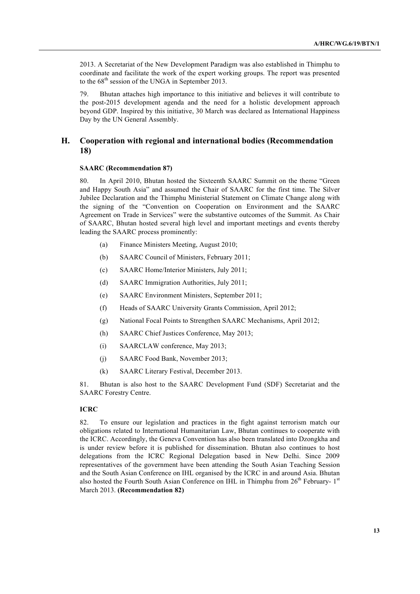2013. A Secretariat of the New Development Paradigm was also established in Thimphu to coordinate and facilitate the work of the expert working groups. The report was presented to the  $68<sup>th</sup>$  session of the UNGA in September 2013.

79. Bhutan attaches high importance to this initiative and believes it will contribute to the post-2015 development agenda and the need for a holistic development approach beyond GDP. Inspired by this initiative, 30 March was declared as International Happiness Day by the UN General Assembly.

## **H. Cooperation with regional and international bodies (Recommendation 18)**

#### **SAARC (Recommendation 87)**

80. In April 2010, Bhutan hosted the Sixteenth SAARC Summit on the theme "Green and Happy South Asia" and assumed the Chair of SAARC for the first time. The Silver Jubilee Declaration and the Thimphu Ministerial Statement on Climate Change along with the signing of the "Convention on Cooperation on Environment and the SAARC Agreement on Trade in Services" were the substantive outcomes of the Summit. As Chair of SAARC, Bhutan hosted several high level and important meetings and events thereby leading the SAARC process prominently:

- (a) Finance Ministers Meeting, August 2010;
- (b) SAARC Council of Ministers, February 2011;
- (c) SAARC Home/Interior Ministers, July 2011;
- (d) SAARC Immigration Authorities, July 2011;
- (e) SAARC Environment Ministers, September 2011;
- (f) Heads of SAARC University Grants Commission, April 2012;
- (g) National Focal Points to Strengthen SAARC Mechanisms, April 2012;
- (h) SAARC Chief Justices Conference, May 2013;
- (i) SAARCLAW conference, May 2013;
- (j) SAARC Food Bank, November 2013;
- (k) SAARC Literary Festival, December 2013.

81. Bhutan is also host to the SAARC Development Fund (SDF) Secretariat and the SAARC Forestry Centre.

#### **ICRC**

82. To ensure our legislation and practices in the fight against terrorism match our obligations related to International Humanitarian Law, Bhutan continues to cooperate with the ICRC. Accordingly, the Geneva Convention has also been translated into Dzongkha and is under review before it is published for dissemination. Bhutan also continues to host delegations from the ICRC Regional Delegation based in New Delhi. Since 2009 representatives of the government have been attending the South Asian Teaching Session and the South Asian Conference on IHL organised by the ICRC in and around Asia. Bhutan also hosted the Fourth South Asian Conference on IHL in Thimphu from  $26<sup>th</sup>$  February-  $1<sup>st</sup>$ March 2013. **(Recommendation 82)**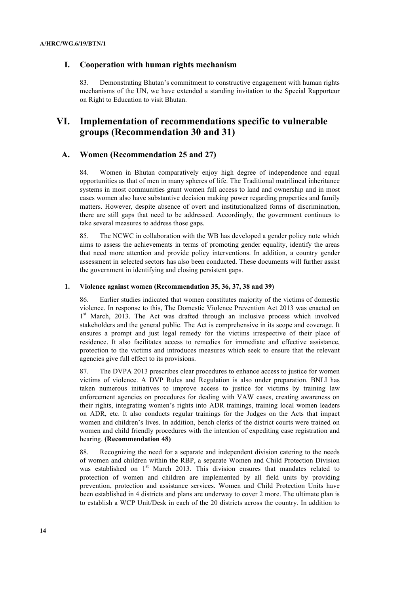## **I. Cooperation with human rights mechanism**

83. Demonstrating Bhutan's commitment to constructive engagement with human rights mechanisms of the UN, we have extended a standing invitation to the Special Rapporteur on Right to Education to visit Bhutan.

## **VI. Implementation of recommendations specific to vulnerable groups (Recommendation 30 and 31)**

## **A. Women (Recommendation 25 and 27)**

84. Women in Bhutan comparatively enjoy high degree of independence and equal opportunities as that of men in many spheres of life. The Traditional matrilineal inheritance systems in most communities grant women full access to land and ownership and in most cases women also have substantive decision making power regarding properties and family matters. However, despite absence of overt and institutionalized forms of discrimination, there are still gaps that need to be addressed. Accordingly, the government continues to take several measures to address those gaps.

85. The NCWC in collaboration with the WB has developed a gender policy note which aims to assess the achievements in terms of promoting gender equality, identify the areas that need more attention and provide policy interventions. In addition, a country gender assessment in selected sectors has also been conducted. These documents will further assist the government in identifying and closing persistent gaps.

#### **1. Violence against women (Recommendation 35, 36, 37, 38 and 39)**

86. Earlier studies indicated that women constitutes majority of the victims of domestic violence. In response to this, The Domestic Violence Prevention Act 2013 was enacted on 1<sup>st</sup> March, 2013. The Act was drafted through an inclusive process which involved stakeholders and the general public. The Act is comprehensive in its scope and coverage. It ensures a prompt and just legal remedy for the victims irrespective of their place of residence. It also facilitates access to remedies for immediate and effective assistance, protection to the victims and introduces measures which seek to ensure that the relevant agencies give full effect to its provisions.

87. The DVPA 2013 prescribes clear procedures to enhance access to justice for women victims of violence. A DVP Rules and Regulation is also under preparation. BNLI has taken numerous initiatives to improve access to justice for victims by training law enforcement agencies on procedures for dealing with VAW cases, creating awareness on their rights, integrating women's rights into ADR trainings, training local women leaders on ADR, etc. It also conducts regular trainings for the Judges on the Acts that impact women and children's lives. In addition, bench clerks of the district courts were trained on women and child friendly procedures with the intention of expediting case registration and hearing. **(Recommendation 48)**

88. Recognizing the need for a separate and independent division catering to the needs of women and children within the RBP, a separate Women and Child Protection Division was established on  $1<sup>st</sup>$  March 2013. This division ensures that mandates related to protection of women and children are implemented by all field units by providing prevention, protection and assistance services. Women and Child Protection Units have been established in 4 districts and plans are underway to cover 2 more. The ultimate plan is to establish a WCP Unit/Desk in each of the 20 districts across the country. In addition to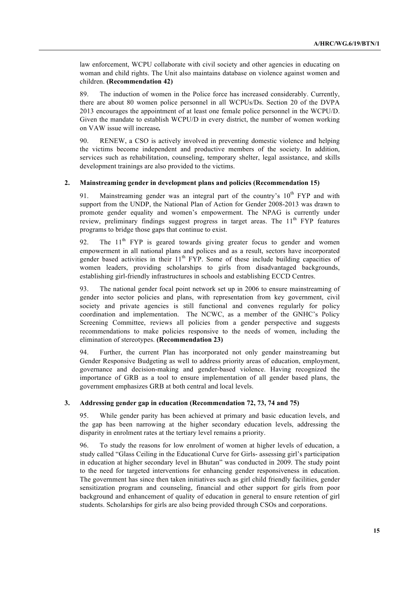law enforcement, WCPU collaborate with civil society and other agencies in educating on woman and child rights. The Unit also maintains database on violence against women and children. **(Recommendation 42)**

89. The induction of women in the Police force has increased considerably. Currently, there are about 80 women police personnel in all WCPUs/Ds. Section 20 of the DVPA 2013 encourages the appointment of at least one female police personnel in the WCPU/D. Given the mandate to establish WCPU/D in every district, the number of women working on VAW issue will increase*.*

90. RENEW, a CSO is actively involved in preventing domestic violence and helping the victims become independent and productive members of the society. In addition, services such as rehabilitation, counseling, temporary shelter, legal assistance, and skills development trainings are also provided to the victims.

#### **2. Mainstreaming gender in development plans and policies (Recommendation 15)**

91. Mainstreaming gender was an integral part of the country's  $10<sup>th</sup> FYP$  and with support from the UNDP, the National Plan of Action for Gender 2008-2013 was drawn to promote gender equality and women's empowerment. The NPAG is currently under review, preliminary findings suggest progress in target areas. The 11<sup>th</sup> FYP features programs to bridge those gaps that continue to exist.

92. The  $11<sup>th</sup>$  FYP is geared towards giving greater focus to gender and women empowerment in all national plans and polices and as a result, sectors have incorporated gender based activities in their  $11<sup>th</sup>$  FYP. Some of these include building capacities of women leaders, providing scholarships to girls from disadvantaged backgrounds, establishing girl-friendly infrastructures in schools and establishing ECCD Centres.

93. The national gender focal point network set up in 2006 to ensure mainstreaming of gender into sector policies and plans, with representation from key government, civil society and private agencies is still functional and convenes regularly for policy coordination and implementation. The NCWC, as a member of the GNHC's Policy Screening Committee, reviews all policies from a gender perspective and suggests recommendations to make policies responsive to the needs of women, including the elimination of stereotypes. **(Recommendation 23)**

94. Further, the current Plan has incorporated not only gender mainstreaming but Gender Responsive Budgeting as well to address priority areas of education, employment, governance and decision-making and gender-based violence. Having recognized the importance of GRB as a tool to ensure implementation of all gender based plans, the government emphasizes GRB at both central and local levels.

#### **3. Addressing gender gap in education (Recommendation 72, 73, 74 and 75)**

95. While gender parity has been achieved at primary and basic education levels, and the gap has been narrowing at the higher secondary education levels, addressing the disparity in enrolment rates at the tertiary level remains a priority.

96. To study the reasons for low enrolment of women at higher levels of education, a study called "Glass Ceiling in the Educational Curve for Girls- assessing girl's participation in education at higher secondary level in Bhutan" was conducted in 2009. The study point to the need for targeted interventions for enhancing gender responsiveness in education. The government has since then taken initiatives such as girl child friendly facilities, gender sensitization program and counseling, financial and other support for girls from poor background and enhancement of quality of education in general to ensure retention of girl students. Scholarships for girls are also being provided through CSOs and corporations.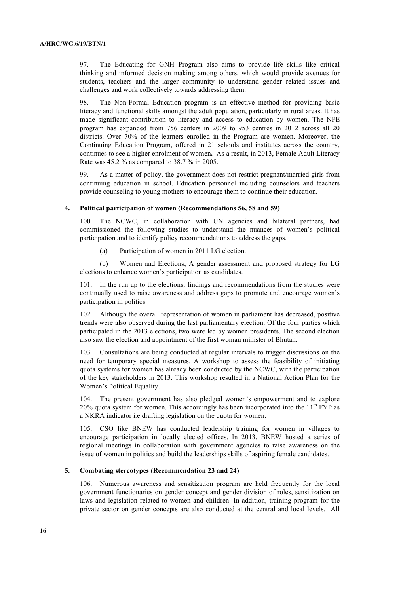97. The Educating for GNH Program also aims to provide life skills like critical thinking and informed decision making among others, which would provide avenues for students, teachers and the larger community to understand gender related issues and challenges and work collectively towards addressing them.

98. The Non-Formal Education program is an effective method for providing basic literacy and functional skills amongst the adult population, particularly in rural areas. It has made significant contribution to literacy and access to education by women. The NFE program has expanded from 756 centers in 2009 to 953 centres in 2012 across all 20 districts. Over 70% of the learners enrolled in the Program are women. Moreover, the Continuing Education Program, offered in 21 schools and institutes across the country, continues to see a higher enrolment of women**.** As a result, in 2013, Female Adult Literacy Rate was 45.2 % as compared to 38.7 % in 2005.

99. As a matter of policy, the government does not restrict pregnant/married girls from continuing education in school. Education personnel including counselors and teachers provide counseling to young mothers to encourage them to continue their education.

#### **4. Political participation of women (Recommendations 56, 58 and 59)**

100. The NCWC, in collaboration with UN agencies and bilateral partners, had commissioned the following studies to understand the nuances of women's political participation and to identify policy recommendations to address the gaps.

(a) Participation of women in 2011 LG election.

(b) Women and Elections; A gender assessment and proposed strategy for LG elections to enhance women's participation as candidates.

101. In the run up to the elections, findings and recommendations from the studies were continually used to raise awareness and address gaps to promote and encourage women's participation in politics.

102. Although the overall representation of women in parliament has decreased, positive trends were also observed during the last parliamentary election. Of the four parties which participated in the 2013 elections, two were led by women presidents. The second election also saw the election and appointment of the first woman minister of Bhutan.

103. Consultations are being conducted at regular intervals to trigger discussions on the need for temporary special measures. A workshop to assess the feasibility of initiating quota systems for women has already been conducted by the NCWC, with the participation of the key stakeholders in 2013. This workshop resulted in a National Action Plan for the Women's Political Equality.

104. The present government has also pledged women's empowerment and to explore 20% quota system for women. This accordingly has been incorporated into the  $11<sup>th</sup> FYP$  as a NKRA indicator i.e drafting legislation on the quota for women.

105. CSO like BNEW has conducted leadership training for women in villages to encourage participation in locally elected offices. In 2013, BNEW hosted a series of regional meetings in collaboration with government agencies to raise awareness on the issue of women in politics and build the leaderships skills of aspiring female candidates.

#### **5. Combating stereotypes (Recommendation 23 and 24)**

106. Numerous awareness and sensitization program are held frequently for the local government functionaries on gender concept and gender division of roles, sensitization on laws and legislation related to women and children. In addition, training program for the private sector on gender concepts are also conducted at the central and local levels. All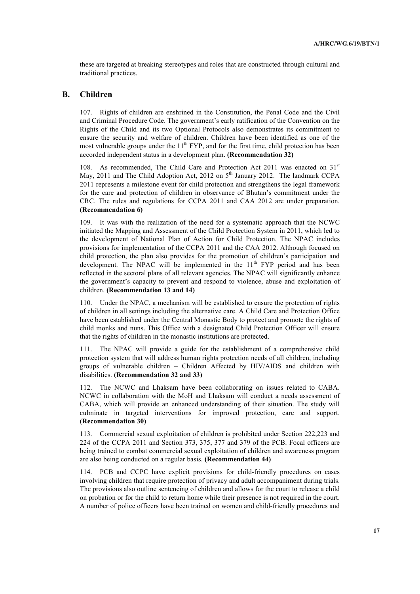these are targeted at breaking stereotypes and roles that are constructed through cultural and traditional practices.

## **B. Children**

107. Rights of children are enshrined in the Constitution, the Penal Code and the Civil and Criminal Procedure Code. The government's early ratification of the Convention on the Rights of the Child and its two Optional Protocols also demonstrates its commitment to ensure the security and welfare of children. Children have been identified as one of the most vulnerable groups under the  $11<sup>th</sup> FYP$ , and for the first time, child protection has been accorded independent status in a development plan. **(Recommendation 32)**

108. As recommended, The Child Care and Protection Act 2011 was enacted on  $31<sup>st</sup>$ May, 2011 and The Child Adoption Act, 2012 on  $5<sup>th</sup>$  January 2012. The landmark CCPA 2011 represents a milestone event for child protection and strengthens the legal framework for the care and protection of children in observance of Bhutan's commitment under the CRC. The rules and regulations for CCPA 2011 and CAA 2012 are under preparation. **(Recommendation 6)**

109. It was with the realization of the need for a systematic approach that the NCWC initiated the Mapping and Assessment of the Child Protection System in 2011, which led to the development of National Plan of Action for Child Protection. The NPAC includes provisions for implementation of the CCPA 2011 and the CAA 2012. Although focused on child protection, the plan also provides for the promotion of children's participation and development. The NPAC will be implemented in the 11<sup>th</sup> FYP period and has been reflected in the sectoral plans of all relevant agencies. The NPAC will significantly enhance the government's capacity to prevent and respond to violence, abuse and exploitation of children. **(Recommendation 13 and 14)**

110. Under the NPAC, a mechanism will be established to ensure the protection of rights of children in all settings including the alternative care. A Child Care and Protection Office have been established under the Central Monastic Body to protect and promote the rights of child monks and nuns. This Office with a designated Child Protection Officer will ensure that the rights of children in the monastic institutions are protected.

111. The NPAC will provide a guide for the establishment of a comprehensive child protection system that will address human rights protection needs of all children, including groups of vulnerable children – Children Affected by HIV/AIDS and children with disabilities. **(Recommendation 32 and 33)**

112. The NCWC and Lhaksam have been collaborating on issues related to CABA. NCWC in collaboration with the MoH and Lhaksam will conduct a needs assessment of CABA, which will provide an enhanced understanding of their situation. The study will culminate in targeted interventions for improved protection, care and support. **(Recommendation 30)**

113. Commercial sexual exploitation of children is prohibited under Section 222,223 and 224 of the CCPA 2011 and Section 373, 375, 377 and 379 of the PCB. Focal officers are being trained to combat commercial sexual exploitation of children and awareness program are also being conducted on a regular basis. **(Recommendation 44)**

114. PCB and CCPC have explicit provisions for child-friendly procedures on cases involving children that require protection of privacy and adult accompaniment during trials. The provisions also outline sentencing of children and allows for the court to release a child on probation or for the child to return home while their presence is not required in the court. A number of police officers have been trained on women and child-friendly procedures and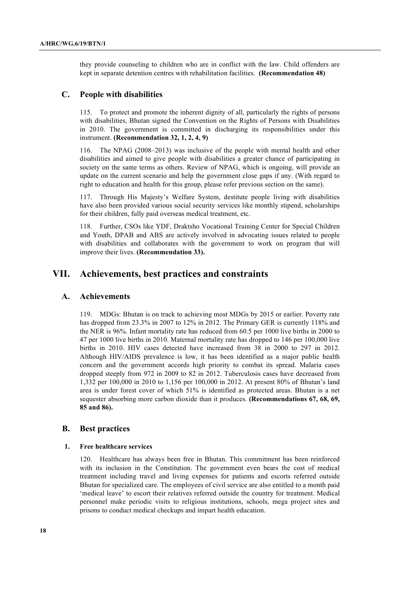they provide counseling to children who are in conflict with the law. Child offenders are kept in separate detention centres with rehabilitation facilities. **(Recommendation 48)**

### **C. People with disabilities**

115. To protect and promote the inherent dignity of all, particularly the rights of persons with disabilities, Bhutan signed the Convention on the Rights of Persons with Disabilities in 2010. The government is committed in discharging its responsibilities under this instrument. **(Recommendation 32, 1, 2, 4, 9)**

116. The NPAG (2008–2013) was inclusive of the people with mental health and other disabilities and aimed to give people with disabilities a greater chance of participating in society on the same terms as others. Review of NPAG, which is ongoing, will provide an update on the current scenario and help the government close gaps if any. (With regard to right to education and health for this group, please refer previous section on the same).

117. Through His Majesty's Welfare System, destitute people living with disabilities have also been provided various social security services like monthly stipend, scholarships for their children, fully paid overseas medical treatment, etc.

118. Further, CSOs like YDF, Draktsho Vocational Training Center for Special Children and Youth, DPAB and ABS are actively involved in advocating issues related to people with disabilities and collaborates with the government to work on program that will improve their lives. **(Recommendation 33).**

## **VII. Achievements, best practices and constraints**

### **A. Achievements**

119. MDGs: Bhutan is on track to achieving most MDGs by 2015 or earlier. Poverty rate has dropped from 23.3% in 2007 to 12% in 2012. The Primary GER is currently 118% and the NER is 96%. Infant mortality rate has reduced from 60.5 per 1000 live births in 2000 to 47 per 1000 live births in 2010. Maternal mortality rate has dropped to 146 per 100,000 live births in 2010. HIV cases detected have increased from 38 in 2000 to 297 in 2012. Although HIV/AIDS prevalence is low, it has been identified as a major public health concern and the government accords high priority to combat its spread. Malaria cases dropped steeply from 972 in 2009 to 82 in 2012. Tuberculosis cases have decreased from 1,332 per 100,000 in 2010 to 1,156 per 100,000 in 2012. At present 80% of Bhutan's land area is under forest cover of which 51% is identified as protected areas. Bhutan is a net sequester absorbing more carbon dioxide than it produces. **(Recommendations 67, 68, 69, 85 and 86).**

## **B. Best practices**

#### **1. Free healthcare services**

120. Healthcare has always been free in Bhutan. This commitment has been reinforced with its inclusion in the Constitution. The government even bears the cost of medical treatment including travel and living expenses for patients and escorts referred outside Bhutan for specialized care. The employees of civil service are also entitled to a month paid 'medical leave' to escort their relatives referred outside the country for treatment. Medical personnel make periodic visits to religious institutions, schools, mega project sites and prisons to conduct medical checkups and impart health education.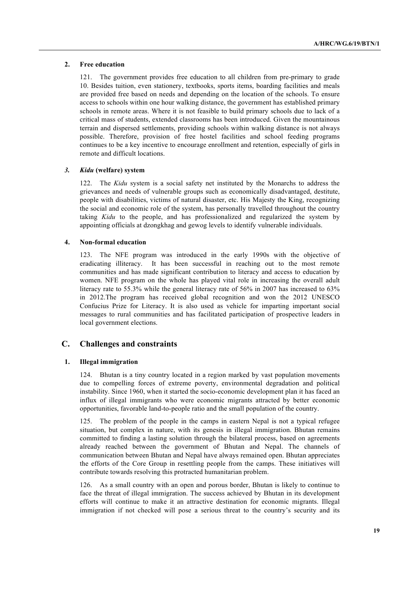#### **2. Free education**

121. The government provides free education to all children from pre-primary to grade 10. Besides tuition, even stationery, textbooks, sports items, boarding facilities and meals are provided free based on needs and depending on the location of the schools. To ensure access to schools within one hour walking distance, the government has established primary schools in remote areas. Where it is not feasible to build primary schools due to lack of a critical mass of students, extended classrooms has been introduced. Given the mountainous terrain and dispersed settlements, providing schools within walking distance is not always possible. Therefore, provision of free hostel facilities and school feeding programs continues to be a key incentive to encourage enrollment and retention, especially of girls in remote and difficult locations.

#### *3. Kidu* **(welfare) system**

122. The *Kidu* system is a social safety net instituted by the Monarchs to address the grievances and needs of vulnerable groups such as economically disadvantaged, destitute, people with disabilities, victims of natural disaster, etc. His Majesty the King, recognizing the social and economic role of the system, has personally travelled throughout the country taking *Kidu* to the people, and has professionalized and regularized the system by appointing officials at dzongkhag and gewog levels to identify vulnerable individuals.

#### **4. Non-formal education**

123. The NFE program was introduced in the early 1990s with the objective of eradicating illiteracy. It has been successful in reaching out to the most remote communities and has made significant contribution to literacy and access to education by women. NFE program on the whole has played vital role in increasing the overall adult literacy rate to 55.3% while the general literacy rate of 56% in 2007 has increased to 63% in 2012.The program has received global recognition and won the 2012 UNESCO Confucius Prize for Literacy. It is also used as vehicle for imparting important social messages to rural communities and has facilitated participation of prospective leaders in local government elections.

## **C. Challenges and constraints**

#### **1. Illegal immigration**

124. Bhutan is a tiny country located in a region marked by vast population movements due to compelling forces of extreme poverty, environmental degradation and political instability. Since 1960, when it started the socio-economic development plan it has faced an influx of illegal immigrants who were economic migrants attracted by better economic opportunities, favorable land-to-people ratio and the small population of the country.

125. The problem of the people in the camps in eastern Nepal is not a typical refugee situation, but complex in nature, with its genesis in illegal immigration. Bhutan remains committed to finding a lasting solution through the bilateral process, based on agreements already reached between the government of Bhutan and Nepal. The channels of communication between Bhutan and Nepal have always remained open. Bhutan appreciates the efforts of the Core Group in resettling people from the camps. These initiatives will contribute towards resolving this protracted humanitarian problem.

126. As a small country with an open and porous border, Bhutan is likely to continue to face the threat of illegal immigration. The success achieved by Bhutan in its development efforts will continue to make it an attractive destination for economic migrants. Illegal immigration if not checked will pose a serious threat to the country's security and its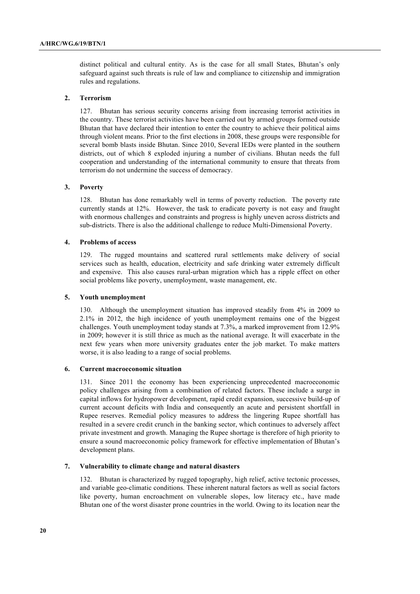distinct political and cultural entity. As is the case for all small States, Bhutan's only safeguard against such threats is rule of law and compliance to citizenship and immigration rules and regulations.

#### **2. Terrorism**

127. Bhutan has serious security concerns arising from increasing terrorist activities in the country. These terrorist activities have been carried out by armed groups formed outside Bhutan that have declared their intention to enter the country to achieve their political aims through violent means. Prior to the first elections in 2008, these groups were responsible for several bomb blasts inside Bhutan. Since 2010, Several IEDs were planted in the southern districts, out of which 8 exploded injuring a number of civilians. Bhutan needs the full cooperation and understanding of the international community to ensure that threats from terrorism do not undermine the success of democracy.

#### **3. Poverty**

128. Bhutan has done remarkably well in terms of poverty reduction. The poverty rate currently stands at 12%. However, the task to eradicate poverty is not easy and fraught with enormous challenges and constraints and progress is highly uneven across districts and sub-districts. There is also the additional challenge to reduce Multi-Dimensional Poverty.

#### **4. Problems of access**

129. The rugged mountains and scattered rural settlements make delivery of social services such as health, education, electricity and safe drinking water extremely difficult and expensive. This also causes rural-urban migration which has a ripple effect on other social problems like poverty, unemployment, waste management, etc.

#### **5. Youth unemployment**

130. Although the unemployment situation has improved steadily from 4% in 2009 to 2.1% in 2012, the high incidence of youth unemployment remains one of the biggest challenges. Youth unemployment today stands at 7.3%, a marked improvement from 12.9% in 2009; however it is still thrice as much as the national average. It will exacerbate in the next few years when more university graduates enter the job market. To make matters worse, it is also leading to a range of social problems.

#### **6. Current macroeconomic situation**

131. Since 2011 the economy has been experiencing unprecedented macroeconomic policy challenges arising from a combination of related factors. These include a surge in capital inflows for hydropower development, rapid credit expansion, successive build-up of current account deficits with India and consequently an acute and persistent shortfall in Rupee reserves. Remedial policy measures to address the lingering Rupee shortfall has resulted in a severe credit crunch in the banking sector, which continues to adversely affect private investment and growth. Managing the Rupee shortage is therefore of high priority to ensure a sound macroeconomic policy framework for effective implementation of Bhutan's development plans.

#### **7. Vulnerability to climate change and natural disasters**

132. Bhutan is characterized by rugged topography, high relief, active tectonic processes, and variable geo-climatic conditions. These inherent natural factors as well as social factors like poverty, human encroachment on vulnerable slopes, low literacy etc., have made Bhutan one of the worst disaster prone countries in the world. Owing to its location near the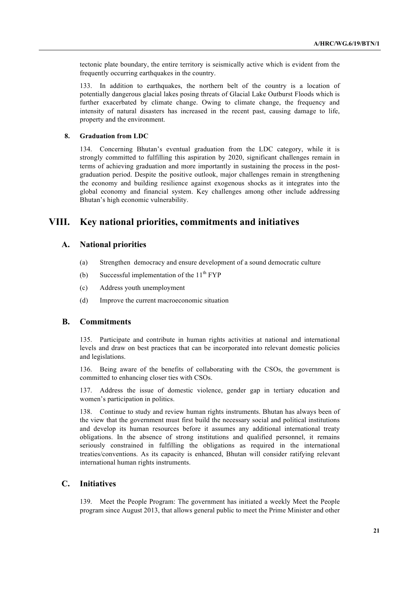tectonic plate boundary, the entire territory is seismically active which is evident from the frequently occurring earthquakes in the country.

133. In addition to earthquakes, the northern belt of the country is a location of potentially dangerous glacial lakes posing threats of Glacial Lake Outburst Floods which is further exacerbated by climate change. Owing to climate change, the frequency and intensity of natural disasters has increased in the recent past, causing damage to life, property and the environment.

#### **8. Graduation from LDC**

134. Concerning Bhutan's eventual graduation from the LDC category, while it is strongly committed to fulfilling this aspiration by 2020, significant challenges remain in terms of achieving graduation and more importantly in sustaining the process in the postgraduation period. Despite the positive outlook, major challenges remain in strengthening the economy and building resilience against exogenous shocks as it integrates into the global economy and financial system. Key challenges among other include addressing Bhutan's high economic vulnerability.

## **VIII. Key national priorities, commitments and initiatives**

## **A. National priorities**

- (a) Strengthen democracy and ensure development of a sound democratic culture
- (b) Successful implementation of the  $11<sup>th</sup> FYP$
- (c) Address youth unemployment
- (d) Improve the current macroeconomic situation

## **B. Commitments**

135. Participate and contribute in human rights activities at national and international levels and draw on best practices that can be incorporated into relevant domestic policies and legislations.

136. Being aware of the benefits of collaborating with the CSOs, the government is committed to enhancing closer ties with CSOs.

137. Address the issue of domestic violence, gender gap in tertiary education and women's participation in politics.

138. Continue to study and review human rights instruments. Bhutan has always been of the view that the government must first build the necessary social and political institutions and develop its human resources before it assumes any additional international treaty obligations. In the absence of strong institutions and qualified personnel, it remains seriously constrained in fulfilling the obligations as required in the international treaties/conventions. As its capacity is enhanced, Bhutan will consider ratifying relevant international human rights instruments.

## **C. Initiatives**

139. Meet the People Program: The government has initiated a weekly Meet the People program since August 2013, that allows general public to meet the Prime Minister and other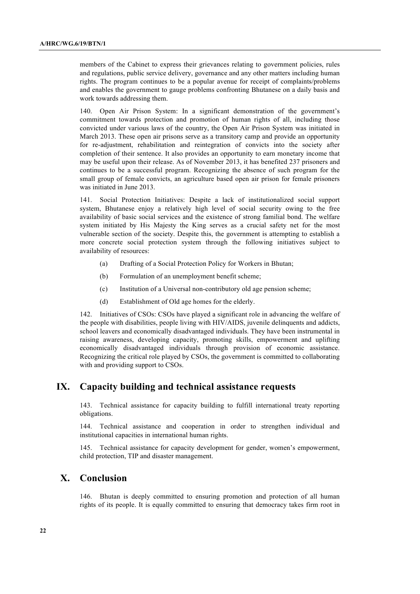members of the Cabinet to express their grievances relating to government policies, rules and regulations, public service delivery, governance and any other matters including human rights. The program continues to be a popular avenue for receipt of complaints/problems and enables the government to gauge problems confronting Bhutanese on a daily basis and work towards addressing them.

140. Open Air Prison System: In a significant demonstration of the government's commitment towards protection and promotion of human rights of all, including those convicted under various laws of the country, the Open Air Prison System was initiated in March 2013. These open air prisons serve as a transitory camp and provide an opportunity for re-adjustment, rehabilitation and reintegration of convicts into the society after completion of their sentence. It also provides an opportunity to earn monetary income that may be useful upon their release. As of November 2013, it has benefited 237 prisoners and continues to be a successful program. Recognizing the absence of such program for the small group of female convicts, an agriculture based open air prison for female prisoners was initiated in June 2013.

141. Social Protection Initiatives: Despite a lack of institutionalized social support system, Bhutanese enjoy a relatively high level of social security owing to the free availability of basic social services and the existence of strong familial bond. The welfare system initiated by His Majesty the King serves as a crucial safety net for the most vulnerable section of the society. Despite this, the government is attempting to establish a more concrete social protection system through the following initiatives subject to availability of resources:

- (a) Drafting of a Social Protection Policy for Workers in Bhutan;
- (b) Formulation of an unemployment benefit scheme;
- (c) Institution of a Universal non-contributory old age pension scheme;
- (d) Establishment of Old age homes for the elderly.

142. Initiatives of CSOs: CSOs have played a significant role in advancing the welfare of the people with disabilities, people living with HIV/AIDS, juvenile delinquents and addicts, school leavers and economically disadvantaged individuals. They have been instrumental in raising awareness, developing capacity, promoting skills, empowerment and uplifting economically disadvantaged individuals through provision of economic assistance. Recognizing the critical role played by CSOs, the government is committed to collaborating with and providing support to CSOs.

## **IX. Capacity building and technical assistance requests**

143. Technical assistance for capacity building to fulfill international treaty reporting obligations.

144. Technical assistance and cooperation in order to strengthen individual and institutional capacities in international human rights.

145. Technical assistance for capacity development for gender, women's empowerment, child protection, TIP and disaster management.

## **X. Conclusion**

146. Bhutan is deeply committed to ensuring promotion and protection of all human rights of its people. It is equally committed to ensuring that democracy takes firm root in